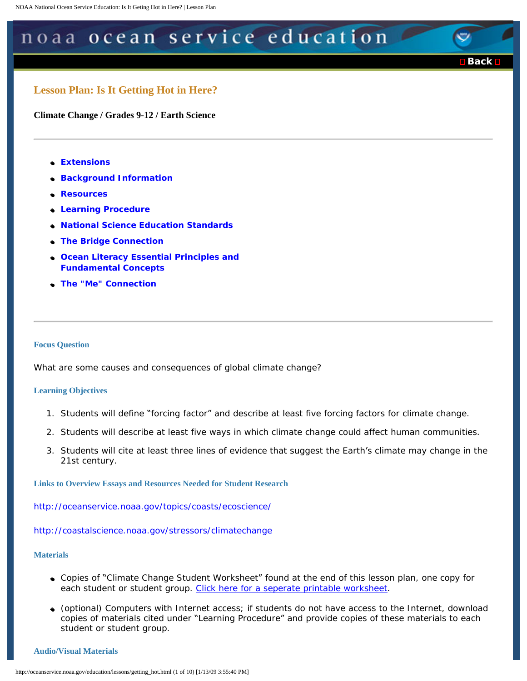# <span id="page-0-0"></span>noaa ocean service education

■ [Back](javascript:history.go(-1))

# **Lesson Plan: Is It Getting Hot in Here?**

**Climate Change / Grades 9-12 / Earth Science** 

- �● **[Extensions](#page-5-0)**
- **Background Information**
- �● **[Resources](#page-5-1)**
- �● **[Learning Procedure](#page-2-0)**
- �● **[National Science Education Standards](#page-6-0)**
- �● **[The Bridge Connection](#page-5-2)**
- �● **[Ocean Literacy Essential Principles and](#page-6-1)  [Fundamental Concepts](#page-6-1)**
- �● **[The "Me" Connection](#page-5-3)**

#### **Focus Question**

What are some causes and consequences of global climate change?

#### **Learning Objectives**

- 1. Students will define "forcing factor" and describe at least five forcing factors for climate change.
- 2. Students will describe at least five ways in which climate change could affect human communities.
- 3. Students will cite at least three lines of evidence that suggest the Earth's climate may change in the 21st century.

**Links to Overview Essays and Resources Needed for Student Research** 

<http://oceanservice.noaa.gov/topics/coasts/ecoscience/>

<http://coastalscience.noaa.gov/stressors/climatechange>

# **Materials**

- Copies of "Climate Change Student Worksheet" found at the end of this lesson plan, one copy for each student or student group. [Click here for a seperate printable worksheet](http://oceanservice.noaa.gov/education/lessons/getting_hot_wrksheet.html).
- (optional) Computers with Internet access; if students do not have access to the Internet, download copies of materials cited under "Learning Procedure" and provide copies of these materials to each student or student group.

#### **Audio/Visual Materials**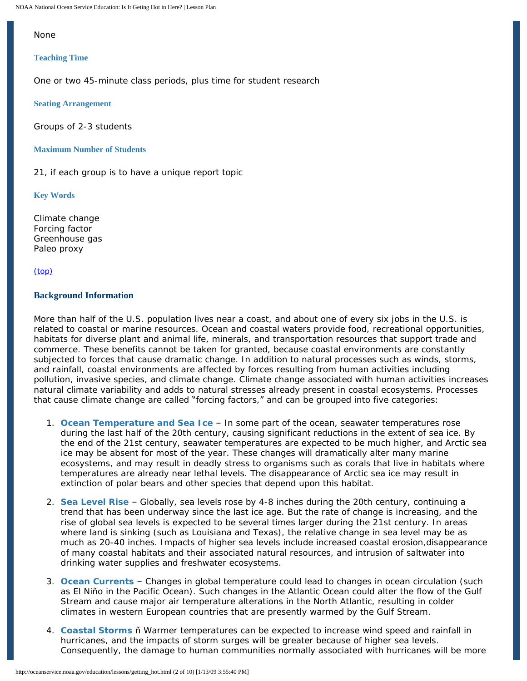NOAA National Ocean Service Education: Is It Geting Hot in Here? | Lesson Plan

## None

#### **Teaching Time**

One or two 45-minute class periods, plus time for student research

**Seating Arrangement** 

Groups of 2-3 students

## **Maximum Number of Students**

21, if each group is to have a unique report topic

**Key Words** 

Climate change Forcing factor Greenhouse gas Paleo proxy

[\(top\)](#page-0-0) 

# <span id="page-1-0"></span>**Background Information**

More than half of the U.S. population lives near a coast, and about one of every six jobs in the U.S. is related to coastal or marine resources. Ocean and coastal waters provide food, recreational opportunities, habitats for diverse plant and animal life, minerals, and transportation resources that support trade and commerce. These benefits cannot be taken for granted, because coastal environments are constantly subjected to forces that cause dramatic change. In addition to natural processes such as winds, storms, and rainfall, coastal environments are affected by forces resulting from human activities including pollution, invasive species, and climate change. Climate change associated with human activities increases natural climate variability and adds to natural stresses already present in coastal ecosystems. Processes that cause climate change are called "forcing factors," and can be grouped into five categories:

- 1. **Ocean Temperature and Sea Ice**  In some part of the ocean, seawater temperatures rose during the last half of the 20th century, causing significant reductions in the extent of sea ice. By the end of the 21st century, seawater temperatures are expected to be much higher, and Arctic sea ice may be absent for most of the year. These changes will dramatically alter many marine ecosystems, and may result in deadly stress to organisms such as corals that live in habitats where temperatures are already near lethal levels. The disappearance of Arctic sea ice may result in extinction of polar bears and other species that depend upon this habitat.
- 2. **Sea Level Rise**  Globally, sea levels rose by 4-8 inches during the 20th century, continuing a trend that has been underway since the last ice age. But the rate of change is increasing, and the rise of global sea levels is expected to be several times larger during the 21st century. In areas where land is sinking (such as Louisiana and Texas), the relative change in sea level may be as much as 20-40 inches. Impacts of higher sea levels include increased coastal erosion,disappearance of many coastal habitats and their associated natural resources, and intrusion of saltwater into drinking water supplies and freshwater ecosystems.
- 3. **Ocean Currents**  Changes in global temperature could lead to changes in ocean circulation (such as El Niño in the Pacific Ocean). Such changes in the Atlantic Ocean could alter the flow of the Gulf Stream and cause major air temperature alterations in the North Atlantic, resulting in colder climates in western European countries that are presently warmed by the Gulf Stream.
- 4. **Coastal Storms** ñ Warmer temperatures can be expected to increase wind speed and rainfall in hurricanes, and the impacts of storm surges will be greater because of higher sea levels. Consequently, the damage to human communities normally associated with hurricanes will be more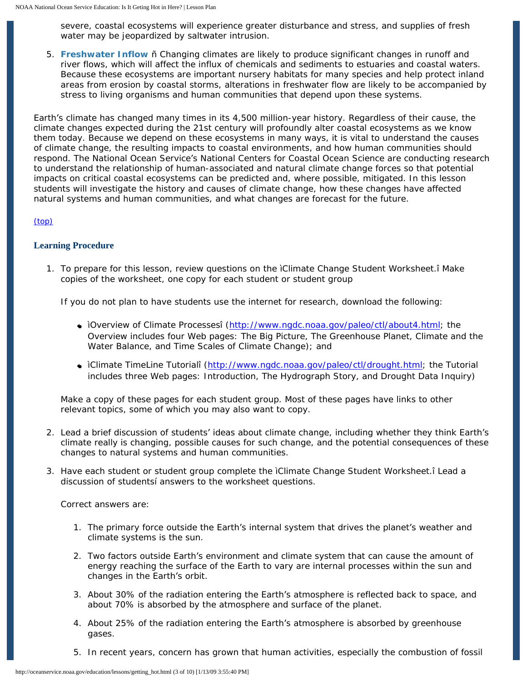severe, coastal ecosystems will experience greater disturbance and stress, and supplies of fresh water may be jeopardized by saltwater intrusion.

5. **Freshwater Inflow** ñ Changing climates are likely to produce significant changes in runoff and river flows, which will affect the influx of chemicals and sediments to estuaries and coastal waters. Because these ecosystems are important nursery habitats for many species and help protect inland areas from erosion by coastal storms, alterations in freshwater flow are likely to be accompanied by stress to living organisms and human communities that depend upon these systems.

Earth's climate has changed many times in its 4,500 million-year history. Regardless of their cause, the climate changes expected during the 21st century will profoundly alter coastal ecosystems as we know them today. Because we depend on these ecosystems in many ways, it is vital to understand the causes of climate change, the resulting impacts to coastal environments, and how human communities should respond. The National Ocean Service's National Centers for Coastal Ocean Science are conducting research to understand the relationship of human-associated and natural climate change forces so that potential impacts on critical coastal ecosystems can be predicted and, where possible, mitigated. In this lesson students will investigate the history and causes of climate change, how these changes have affected natural systems and human communities, and what changes are forecast for the future.

# [\(top\)](#page-0-0)

# <span id="page-2-0"></span>**Learning Procedure**

1. To prepare for this lesson, review questions on the ìClimate Change Student Worksheet.î Make copies of the worksheet, one copy for each student or student group

If you do not plan to have students use the internet for research, download the following:

- ìOverview of Climate Processesî ([http://www.ngdc.noaa.gov/paleo/ctl/about4.html;](http://www.ngdc.noaa.gov/paleo/ctl/about4.html) the Overview includes four Web pages: The Big Picture, The Greenhouse Planet, Climate and the Water Balance, and Time Scales of Climate Change); and
- ìClimate TimeLine Tutorialî [\(http://www.ngdc.noaa.gov/paleo/ctl/drought.html;](http://www.ngdc.noaa.gov/paleo/ctl/drought.html) the Tutorial includes three Web pages: Introduction, The Hydrograph Story, and Drought Data Inquiry)

Make a copy of these pages for each student group. Most of these pages have links to other relevant topics, some of which you may also want to copy.

- 2. Lead a brief discussion of students' ideas about climate change, including whether they think Earth's climate really is changing, possible causes for such change, and the potential consequences of these changes to natural systems and human communities.
- 3. Have each student or student group complete the ìClimate Change Student Worksheet.î Lead a discussion of studentsí answers to the worksheet questions.

Correct answers are:

- 1. The primary force outside the Earth's internal system that drives the planet's weather and climate systems is the sun.
- 2. Two factors outside Earth's environment and climate system that can cause the amount of energy reaching the surface of the Earth to vary are internal processes within the sun and changes in the Earth's orbit.
- 3. About 30% of the radiation entering the Earth's atmosphere is reflected back to space, and about 70% is absorbed by the atmosphere and surface of the planet.
- 4. About 25% of the radiation entering the Earth's atmosphere is absorbed by greenhouse gases.
- 5. In recent years, concern has grown that human activities, especially the combustion of fossil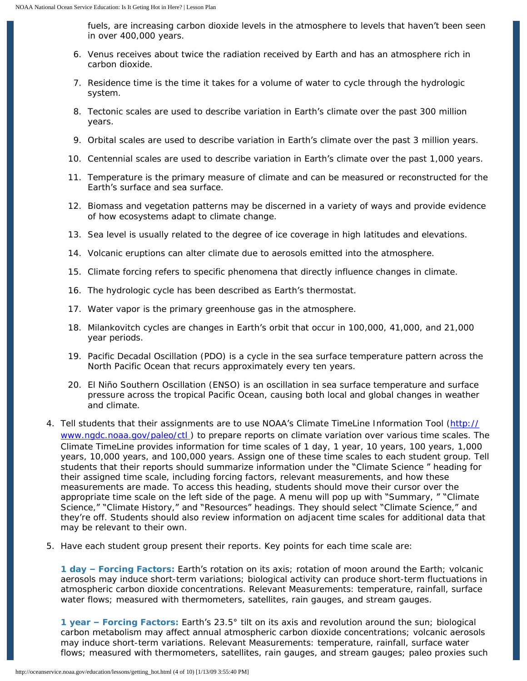fuels, are increasing carbon dioxide levels in the atmosphere to levels that haven't been seen in over 400,000 years.

- 6. Venus receives about twice the radiation received by Earth and has an atmosphere rich in carbon dioxide.
- 7. Residence time is the time it takes for a volume of water to cycle through the hydrologic system.
- 8. Tectonic scales are used to describe variation in Earth's climate over the past 300 million years.
- 9. Orbital scales are used to describe variation in Earth's climate over the past 3 million years.
- 10. Centennial scales are used to describe variation in Earth's climate over the past 1,000 years.
- 11. Temperature is the primary measure of climate and can be measured or reconstructed for the Earth's surface and sea surface.
- 12. Biomass and vegetation patterns may be discerned in a variety of ways and provide evidence of how ecosystems adapt to climate change.
- 13. Sea level is usually related to the degree of ice coverage in high latitudes and elevations.
- 14. Volcanic eruptions can alter climate due to aerosols emitted into the atmosphere.
- 15. Climate forcing refers to specific phenomena that directly influence changes in climate.
- 16. The hydrologic cycle has been described as Earth's thermostat.
- 17. Water vapor is the primary greenhouse gas in the atmosphere.
- 18. Milankovitch cycles are changes in Earth's orbit that occur in 100,000, 41,000, and 21,000 year periods.
- 19. Pacific Decadal Oscillation (PDO) is a cycle in the sea surface temperature pattern across the North Pacific Ocean that recurs approximately every ten years.
- 20. El Niño Southern Oscillation (ENSO) is an oscillation in sea surface temperature and surface pressure across the tropical Pacific Ocean, causing both local and global changes in weather and climate.
- 4. Tell students that their assignments are to use NOAA's Climate TimeLine Information Tool [\(http://](http://www.ngdc.noaa.gov/paleo/ctl)  [www.ngdc.noaa.gov/paleo/ctl](http://www.ngdc.noaa.gov/paleo/ctl) ) to prepare reports on climate variation over various time scales. The Climate TimeLine provides information for time scales of 1 day, 1 year, 10 years, 100 years, 1,000 years, 10,000 years, and 100,000 years. Assign one of these time scales to each student group. Tell students that their reports should summarize information under the "Climate Science " heading for their assigned time scale, including forcing factors, relevant measurements, and how these measurements are made. To access this heading, students should move their cursor over the appropriate time scale on the left side of the page. A menu will pop up with "Summary, " "Climate Science," "Climate History," and "Resources" headings. They should select "Climate Science," and they're off. Students should also review information on adjacent time scales for additional data that may be relevant to their own.
- 5. Have each student group present their reports. Key points for each time scale are:

**1 day – Forcing Factors:** Earth's rotation on its axis; rotation of moon around the Earth; volcanic aerosols may induce short-term variations; biological activity can produce short-term fluctuations in atmospheric carbon dioxide concentrations. Relevant Measurements: temperature, rainfall, surface water flows; measured with thermometers, satellites, rain gauges, and stream gauges.

**1 year – Forcing Factors:** Earth's 23.5° tilt on its axis and revolution around the sun; biological carbon metabolism may affect annual atmospheric carbon dioxide concentrations; volcanic aerosols may induce short-term variations. Relevant Measurements: temperature, rainfall, surface water flows; measured with thermometers, satellites, rain gauges, and stream gauges; paleo proxies such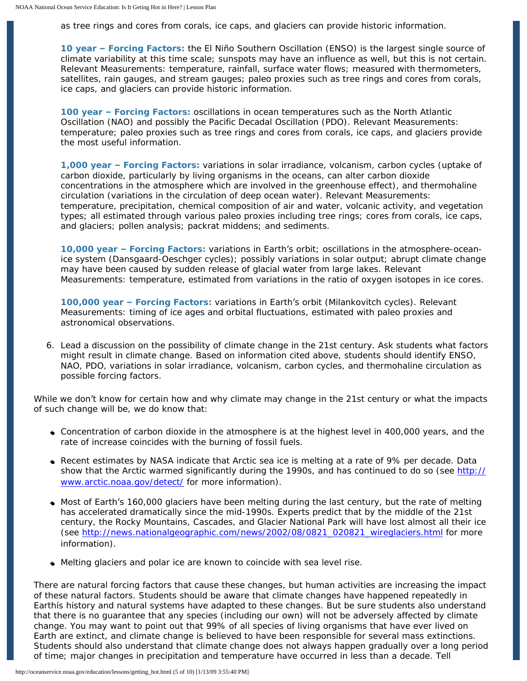as tree rings and cores from corals, ice caps, and glaciers can provide historic information.

**10 year – Forcing Factors:** the El Niño Southern Oscillation (ENSO) is the largest single source of climate variability at this time scale; sunspots may have an influence as well, but this is not certain. Relevant Measurements: temperature, rainfall, surface water flows; measured with thermometers, satellites, rain gauges, and stream gauges; paleo proxies such as tree rings and cores from corals, ice caps, and glaciers can provide historic information.

**100 year – Forcing Factors:** oscillations in ocean temperatures such as the North Atlantic Oscillation (NAO) and possibly the Pacific Decadal Oscillation (PDO). Relevant Measurements: temperature; paleo proxies such as tree rings and cores from corals, ice caps, and glaciers provide the most useful information.

**1,000 year – Forcing Factors:** variations in solar irradiance, volcanism, carbon cycles (uptake of carbon dioxide, particularly by living organisms in the oceans, can alter carbon dioxide concentrations in the atmosphere which are involved in the greenhouse effect), and thermohaline circulation (variations in the circulation of deep ocean water). Relevant Measurements: temperature, precipitation, chemical composition of air and water, volcanic activity, and vegetation types; all estimated through various paleo proxies including tree rings; cores from corals, ice caps, and glaciers; pollen analysis; packrat middens; and sediments.

**10,000 year – Forcing Factors:** variations in Earth's orbit; oscillations in the atmosphere-oceanice system (Dansgaard-Oeschger cycles); possibly variations in solar output; abrupt climate change may have been caused by sudden release of glacial water from large lakes. Relevant Measurements: temperature, estimated from variations in the ratio of oxygen isotopes in ice cores.

**100,000 year – Forcing Factors:** variations in Earth's orbit (Milankovitch cycles). Relevant Measurements: timing of ice ages and orbital fluctuations, estimated with paleo proxies and astronomical observations.

6. Lead a discussion on the possibility of climate change in the 21st century. Ask students what factors might result in climate change. Based on information cited above, students should identify ENSO, NAO, PDO, variations in solar irradiance, volcanism, carbon cycles, and thermohaline circulation as possible forcing factors.

While we don't know for certain how and why climate may change in the 21st century or what the impacts of such change will be, we do know that:

- Concentration of carbon dioxide in the atmosphere is at the highest level in 400,000 years, and the rate of increase coincides with the burning of fossil fuels.
- Recent estimates by NASA indicate that Arctic sea ice is melting at a rate of 9% per decade. Data show that the Arctic warmed significantly during the 1990s, and has continued to do so (see [http://](http://www.arctic.noaa.gov/detect/)  [www.arctic.noaa.gov/detect/](http://www.arctic.noaa.gov/detect/) for more information).
- Most of Earth's 160,000 glaciers have been melting during the last century, but the rate of melting has accelerated dramatically since the mid-1990s. Experts predict that by the middle of the 21st century, the Rocky Mountains, Cascades, and Glacier National Park will have lost almost all their ice (see [http://news.nationalgeographic.com/news/2002/08/0821\\_020821\\_wireglaciers.html](http://oceanservice.noaa.gov/cgi-bin/redirout.cgi?url=http://news.nationalgeographic.com/news/2002/08/0821_020821_wireglaciers.html) for more information).
- Melting glaciers and polar ice are known to coincide with sea level rise.

There are natural forcing factors that cause these changes, but human activities are increasing the impact of these natural factors. Students should be aware that climate changes have happened repeatedly in Earthís history and natural systems have adapted to these changes. But be sure students also understand that there is no guarantee that any species (including our own) will not be adversely affected by climate change. You may want to point out that 99% of all species of living organisms that have ever lived on Earth are extinct, and climate change is believed to have been responsible for several mass extinctions. Students should also understand that climate change does not always happen gradually over a long period of time; major changes in precipitation and temperature have occurred in less than a decade. Tell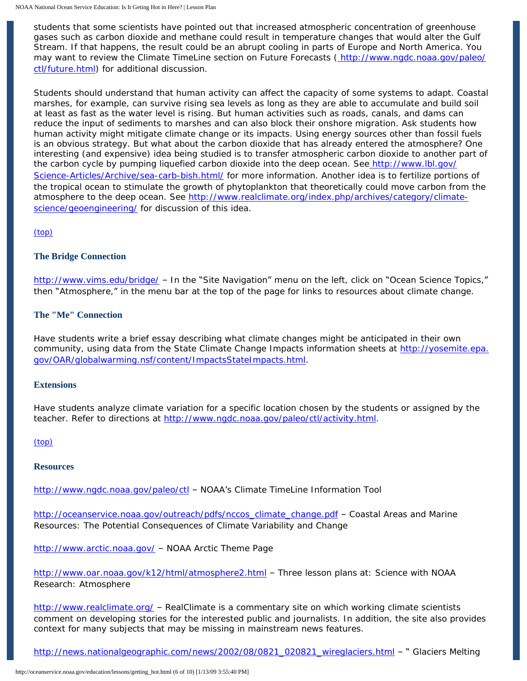students that some scientists have pointed out that increased atmospheric concentration of greenhouse gases such as carbon dioxide and methane could result in temperature changes that would alter the Gulf Stream. If that happens, the result could be an abrupt cooling in parts of Europe and North America. You may want to review the Climate TimeLine section on Future Forecasts [\( http://www.ngdc.noaa.gov/paleo/](http://www.ngdc.noaa.gov/paleo/ctl/future.html)  [ctl/future.html\)](http://www.ngdc.noaa.gov/paleo/ctl/future.html) for additional discussion.

Students should understand that human activity can affect the capacity of some systems to adapt. Coastal marshes, for example, can survive rising sea levels as long as they are able to accumulate and build soil at least as fast as the water level is rising. But human activities such as roads, canals, and dams can reduce the input of sediments to marshes and can also block their onshore migration. Ask students how human activity might mitigate climate change or its impacts. Using energy sources other than fossil fuels is an obvious strategy. But what about the carbon dioxide that has already entered the atmosphere? One interesting (and expensive) idea being studied is to transfer atmospheric carbon dioxide to another part of the carbon cycle by pumping liquefied carbon dioxide into the deep ocean. Se[e http://www.lbl.gov/](http://www.lbl.gov/Science-Articles/Archive/sea-carb-bish.html/) [Science-Articles/Archive/sea-carb-bish.html/](http://www.lbl.gov/Science-Articles/Archive/sea-carb-bish.html/) for more information. Another idea is to fertilize portions of the tropical ocean to stimulate the growth of phytoplankton that theoretically could move carbon from the atmosphere to the deep ocean. See [http://www.realclimate.org/index.php/archives/category/climate](http://oceanservice.noaa.gov/cgi-bin/redirout.cgi?url=http://www.realclimate.org/index.php/archives/category/climate-science/geoengineering/)[science/geoengineering/](http://oceanservice.noaa.gov/cgi-bin/redirout.cgi?url=http://www.realclimate.org/index.php/archives/category/climate-science/geoengineering/) for discussion of this idea.

[\(top\)](#page-0-0) 

# <span id="page-5-2"></span>**The Bridge Connection**

[http://www.vims.edu/bridge/](http://oceanservice.noaa.gov/cgi-bin/redirout.cgi?url=http://www.vims.edu/bridge/) – In the "Site Navigation" menu on the left, click on "Ocean Science Topics," then "Atmosphere," in the menu bar at the top of the page for links to resources about climate change.

# <span id="page-5-3"></span>**The "Me" Connection**

Have students write a brief essay describing what climate changes might be anticipated in their own community, using data from the State Climate Change Impacts information sheets at [http://yosemite.epa.](http://oceanservice.noaa.gov/cgi-bin/redirout.cgi?url=http://yosemite.epa.gov/OAR/globalwarming.nsf/content/ImpactsStateImpacts.html) [gov/OAR/globalwarming.nsf/content/ImpactsStateImpacts.html](http://oceanservice.noaa.gov/cgi-bin/redirout.cgi?url=http://yosemite.epa.gov/OAR/globalwarming.nsf/content/ImpactsStateImpacts.html).

# <span id="page-5-0"></span>**Extensions**

Have students analyze climate variation for a specific location chosen by the students or assigned by the teacher. Refer to directions at <http://www.ngdc.noaa.gov/paleo/ctl/activity.html>.

# [\(top\)](#page-0-0)

#### <span id="page-5-1"></span>**Resources**

<http://www.ngdc.noaa.gov/paleo/ctl>– NOAA's Climate TimeLine Information Tool

[http://oceanservice.noaa.gov/outreach/pdfs/nccos\\_climate\\_change.pdf](http://oceanservice.noaa.gov/outreach/pdfs/nccos_climate_change.pdf) - Coastal Areas and Marine Resources: The Potential Consequences of Climate Variability and Change

<http://www.arctic.noaa.gov/>– NOAA Arctic Theme Page

<http://www.oar.noaa.gov/k12/html/atmosphere2.html>– Three lesson plans at: Science with NOAA Research: Atmosphere

[http://www.realclimate.org/](http://oceanservice.noaa.gov/cgi-bin/redirout.cgi?url=http://www.realclimate.org/) - RealClimate is a commentary site on which working climate scientists comment on developing stories for the interested public and journalists. In addition, the site also provides context for many subjects that may be missing in mainstream news features.

[http://news.nationalgeographic.com/news/2002/08/0821\\_020821\\_wireglaciers.html](http://oceanservice.noaa.gov/cgi-bin/redirout.cgi?url=http://news.nationalgeographic.com/news/2002/08/0821_020821_wireglaciers.html) - " Glaciers Melting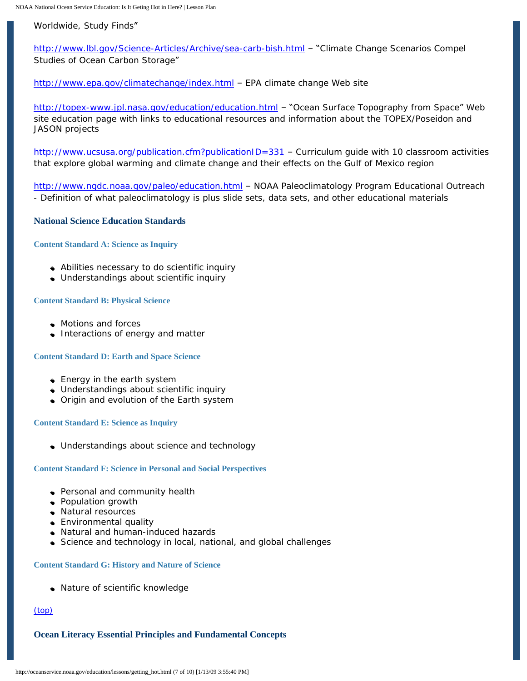Worldwide, Study Finds"

 <http://www.lbl.gov/Science-Articles/Archive/sea-carb-bish.html> – "Climate Change Scenarios Compel Studies of Ocean Carbon Storage"

<http://www.epa.gov/climatechange/index.html> – EPA climate change Web site

<http://topex-www.jpl.nasa.gov/education/education.html> - "Ocean Surface Topography from Space" Web site education page with links to educational resources and information about the TOPEX/Poseidon and JASON projects

[http://www.ucsusa.org/publication.cfm?publicationID=331](http://oceanservice.noaa.gov/cgi-bin/redirout.cgi?url=http://www.ucsusa.org/publication.cfm?publicationID=331) - Curriculum guide with 10 classroom activities that explore global warming and climate change and their effects on the Gulf of Mexico region

<http://www.ngdc.noaa.gov/paleo/education.html>- NOAA Paleoclimatology Program Educational Outreach - Definition of what paleoclimatology is plus slide sets, data sets, and other educational materials

# <span id="page-6-0"></span>**National Science Education Standards**

#### **Content Standard A: Science as Inquiry**

- Abilities necessary to do scientific inquiry
- Understandings about scientific inquiry

#### **Content Standard B: Physical Science**

- Motions and forces
- Interactions of energy and matter

#### **Content Standard D: Earth and Space Science**

- Energy in the earth system
- Understandings about scientific inquiry
- Origin and evolution of the Earth system

#### **Content Standard E: Science as Inquiry**

• Understandings about science and technology

# **Content Standard F: Science in Personal and Social Perspectives**

- Personal and community health
- Population growth
- Natural resources
- Environmental quality
- Natural and human-induced hazards
- Science and technology in local, national, and global challenges

#### **Content Standard G: History and Nature of Science**

• Nature of scientific knowledge

# [\(top\)](#page-0-0)

# <span id="page-6-1"></span>**Ocean Literacy Essential Principles and Fundamental Concepts**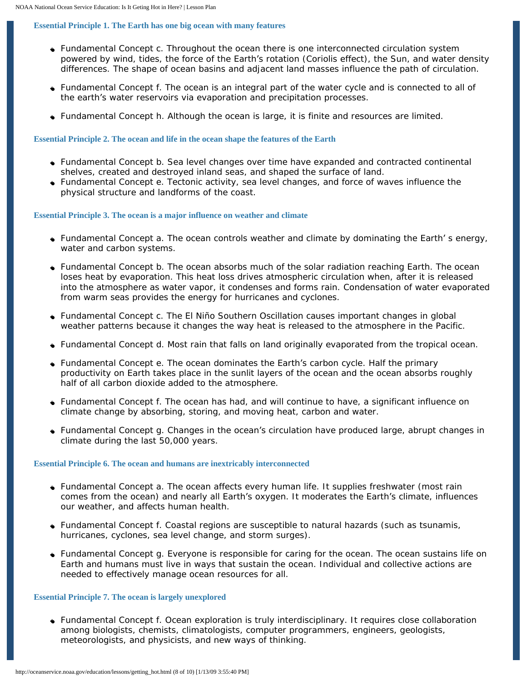#### **Essential Principle 1. The Earth has one big ocean with many features**

- Fundamental Concept c. Throughout the ocean there is one interconnected circulation system powered by wind, tides, the force of the Earth's rotation (Coriolis effect), the Sun, and water density differences. The shape of ocean basins and adjacent land masses influence the path of circulation.
- Fundamental Concept f. The ocean is an integral part of the water cycle and is connected to all of the earth's water reservoirs via evaporation and precipitation processes.
- Fundamental Concept h. Although the ocean is large, it is finite and resources are limited.

#### **Essential Principle 2. The ocean and life in the ocean shape the features of the Earth**

- Fundamental Concept b. Sea level changes over time have expanded and contracted continental shelves, created and destroyed inland seas, and shaped the surface of land.
- Fundamental Concept e. Tectonic activity, sea level changes, and force of waves influence the physical structure and landforms of the coast.

#### **Essential Principle 3. The ocean is a major influence on weather and climate**

- Fundamental Concept a. The ocean controls weather and climate by dominating the Earth' s energy, water and carbon systems.
- Fundamental Concept b. The ocean absorbs much of the solar radiation reaching Earth. The ocean loses heat by evaporation. This heat loss drives atmospheric circulation when, after it is released into the atmosphere as water vapor, it condenses and forms rain. Condensation of water evaporated from warm seas provides the energy for hurricanes and cyclones.
- Fundamental Concept c. The El Niño Southern Oscillation causes important changes in global weather patterns because it changes the way heat is released to the atmosphere in the Pacific.
- Fundamental Concept d. Most rain that falls on land originally evaporated from the tropical ocean.
- Fundamental Concept e. The ocean dominates the Earth's carbon cycle. Half the primary productivity on Earth takes place in the sunlit layers of the ocean and the ocean absorbs roughly half of all carbon dioxide added to the atmosphere.
- Fundamental Concept f. The ocean has had, and will continue to have, a significant influence on climate change by absorbing, storing, and moving heat, carbon and water.
- Fundamental Concept g. Changes in the ocean's circulation have produced large, abrupt changes in climate during the last 50,000 years.

#### **Essential Principle 6. The ocean and humans are inextricably interconnected**

- Fundamental Concept a. The ocean affects every human life. It supplies freshwater (most rain comes from the ocean) and nearly all Earth's oxygen. It moderates the Earth's climate, influences our weather, and affects human health.
- Fundamental Concept f. Coastal regions are susceptible to natural hazards (such as tsunamis, hurricanes, cyclones, sea level change, and storm surges).
- Fundamental Concept g. Everyone is responsible for caring for the ocean. The ocean sustains life on Earth and humans must live in ways that sustain the ocean. Individual and collective actions are needed to effectively manage ocean resources for all.

#### **Essential Principle 7. The ocean is largely unexplored**

• Fundamental Concept f. Ocean exploration is truly interdisciplinary. It requires close collaboration among biologists, chemists, climatologists, computer programmers, engineers, geologists, meteorologists, and physicists, and new ways of thinking.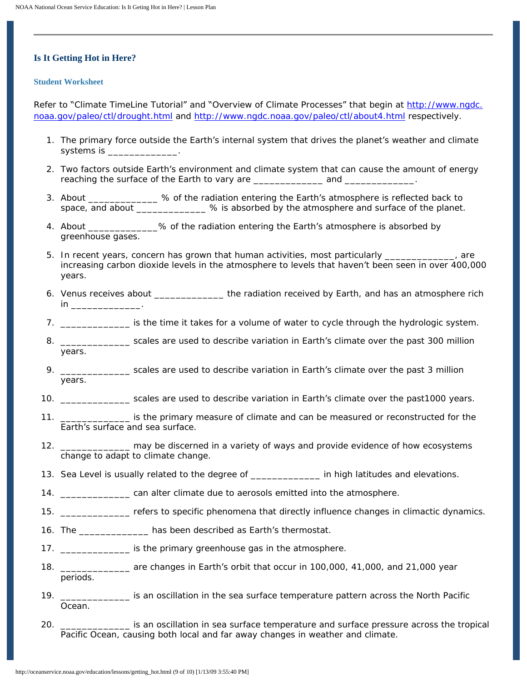# **Is It Getting Hot in Here?**

#### **Student Worksheet**

Refer to "Climate TimeLine Tutorial" and "Overview of Climate Processes" that begin at [http://www.ngdc.](http://www.ngdc.noaa.gov/paleo/ctl/drought.html) [noaa.gov/paleo/ctl/drought.html](http://www.ngdc.noaa.gov/paleo/ctl/drought.html) and <http://www.ngdc.noaa.gov/paleo/ctl/about4.html>respectively.

- 1. The primary force outside the Earth's internal system that drives the planet's weather and climate systems is \_\_\_\_\_\_\_\_\_\_\_\_\_.
- 2. Two factors outside Earth's environment and climate system that can cause the amount of energy reaching the surface of the Earth to vary are \_\_\_\_\_\_\_\_\_\_\_\_\_ and \_\_\_\_\_\_\_\_\_\_\_\_\_.
- 3. About \_\_\_\_\_\_\_\_\_\_\_\_\_ % of the radiation entering the Earth's atmosphere is reflected back to space, and about \_\_\_\_\_\_\_\_\_\_\_\_\_ % is absorbed by the atmosphere and surface of the planet.
- 4. About \_\_\_\_\_\_\_\_\_\_\_\_\_% of the radiation entering the Earth's atmosphere is absorbed by greenhouse gases.
- 5. In recent years, concern has grown that human activities, most particularly \_\_\_\_\_\_\_\_\_\_\_\_\_, are increasing carbon dioxide levels in the atmosphere to levels that haven't been seen in over 400,000 years.
- 6. Venus receives about \_\_\_\_\_\_\_\_\_\_\_\_\_ the radiation received by Earth, and has an atmosphere rich in \_\_\_\_\_\_\_\_\_\_\_\_\_.
- 7. \_\_\_\_\_\_\_\_\_\_\_\_\_ is the time it takes for a volume of water to cycle through the hydrologic system.
- 8. \_\_\_\_\_\_\_\_\_\_\_\_\_\_\_\_\_ scales are used to describe variation in Earth's climate over the past 300 million years.
- 9. \_\_\_\_\_\_\_\_\_\_\_\_\_\_\_\_ scales are used to describe variation in Earth's climate over the past 3 million years.
- 10. \_\_\_\_\_\_\_\_\_\_\_\_\_ scales are used to describe variation in Earth's climate over the past1000 years.
- 11. \_\_\_\_\_\_\_\_\_\_\_\_\_ is the primary measure of climate and can be measured or reconstructed for the Earth's surface and sea surface.
- 12. \_\_\_\_\_\_\_\_\_\_\_\_\_ may be discerned in a variety of ways and provide evidence of how ecosystems change to adapt to climate change.
- 13. Sea Level is usually related to the degree of \_\_\_\_\_\_\_\_\_\_\_\_\_\_\_\_ in high latitudes and elevations.
- 14. \_\_\_\_\_\_\_\_\_\_\_\_\_ can alter climate due to aerosols emitted into the atmosphere.
- 15. \_\_\_\_\_\_\_\_\_\_\_\_\_ refers to specific phenomena that directly influence changes in climactic dynamics.
- 16. The \_\_\_\_\_\_\_\_\_\_\_\_\_ has been described as Earth's thermostat.
- 17. \_\_\_\_\_\_\_\_\_\_\_\_\_ is the primary greenhouse gas in the atmosphere.
- 18. \_\_\_\_\_\_\_\_\_\_\_\_\_ are changes in Earth's orbit that occur in 100,000, 41,000, and 21,000 year periods.
- 19. \_\_\_\_\_\_\_\_\_\_\_\_\_ is an oscillation in the sea surface temperature pattern across the North Pacific Ocean.
- 20. \_\_\_\_\_\_\_\_\_\_\_\_\_ is an oscillation in sea surface temperature and surface pressure across the tropical Pacific Ocean, causing both local and far away changes in weather and climate.